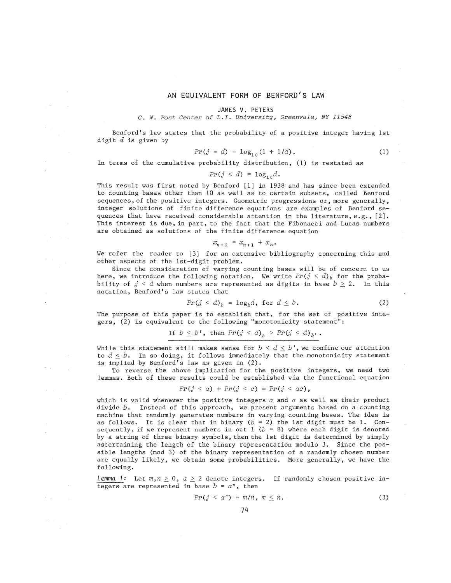## AN EQUIVALENT FORM OF BENFORD'S LAW

# JAMES V. PETERS

## C. *W. Post Center of L.I, University, Greenvale, NY 11548*

Benford's law states that the probability of a positive integer having lst digit *d* is given by

$$
Pr(j = d) = \log_{10}(1 + 1/d). \tag{1}
$$

In terms of the cumulative probability distribution, (1) is restated as

$$
Pr(j < d) = \log_{10} d.
$$

This result was first noted by Benford [1] in 1938 and has since been extended to counting bases other than 10 as well as to certain subsets, called Benford sequences, of the positive integers. Geometric progressions or, more generally, integer solutions of finite difference equations are examples of Benford sequences that have received considerable attention in the literature, e.g.,  $[2]$ . This interest is due, in part, to the fact that the Fibonacci and Lucas numbers are obtained as solutions of the finite difference equation

$$
x_{n+2} = x_{n+1} + x_n.
$$

We refer the reader to [3] for an extensive bibliography concerning this and other aspects of the Ist-digit problem.

Since the consideration of varying counting bases will be of concern to us here, we introduce the following notation. We write  $Pr(j < d)$  for the probability of  $j < d$  when numbers are represented as digits in base  $b \geq 2$ . In this notation, Benford! s law states that

$$
Pr(j < d)_{b} = \log_{b} d, \text{ for } d \leq b. \tag{2}
$$

The purpose of this paper is to establish that, for the set of positive integers, (2) is equivalent to the following "monotonicity statement":

$$
\text{If } b \leq b', \text{ then } \Pr(j < d)_{b} \geq \Pr(j < d)_{b'}.
$$

While this statement still makes sense for  $b < d \leq b'$ , we confine our attention to  $d \leq b$ . In so doing, it follows immediately that the monotonicity statement is implied by Benford's law as given in (2).

To reverse the above implication for the positive integers, we need two lemmas. Both of these results could be established via the functional equation

$$
Pr(j < a) + Pr(j < c) = Pr(j < ac),
$$

which is valid whenever the positive integers a and *o* as well as their product divide *b.* Instead of this approach, we present arguments based on a counting machine that randomly generates numbers in varying counting bases. The idea is as follows. It is clear that in binary  $(b = 2)$  the 1st digit must be 1. Consequently, if we represent numbers in oct  $1$  ( $b = 8$ ) where each digit is denoted by a string of three binary symbols, then the 1st digit is determined by simply ascertaining the length of the binary representation modulo 3. Since the possible lengths (mod 3) of the binary representation of a randomly chosen number are equally likely, we obtain some probabilities. More generally, we have the following.

*Lemma* 1: Let  $m, n \geq 0$ ,  $a \geq 2$  denote integers. If randomly chosen positive integers are represented in base  $b = a^n$ , then

$$
Pr(j < a^m) = m/n, \ m \leq n. \tag{3}
$$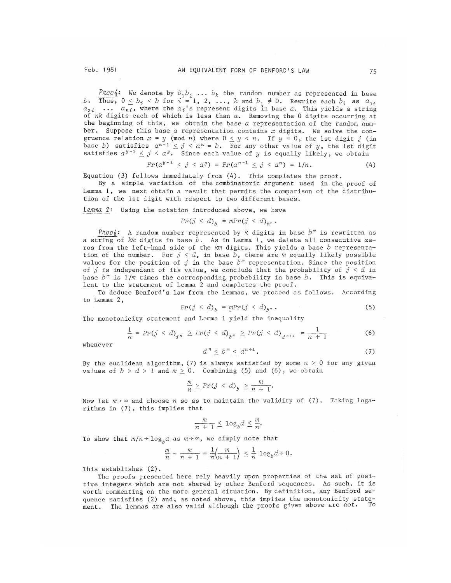$\frac{\rho_{\hbar o o_0}}{a}$ : We denote by  $b_1b_2$  ...  $b_k$  the random number as represented in base  $b$ . Thus,  $0 \leq b_i \leq b$  for  $i = 1, 2, \ldots, k$  and  $b_1 \neq 0$ . Rewrite each  $b_i$  as  $a_{1i}$  $a_{2i}$  ...  $a_{ni}$ , where the  $a_i$ 's represent digits in base  $a$ . This yields a string of  $nk$  digits each of which is less than  $a$ . Removing the 0 digits occurring at the beginning of this, we obtain the base *a* representation of the random number. Suppose this base  $\alpha$  representation contains  $x$  digits. We solve the congruence relation  $x = y \pmod{n}$  where  $0 \le y \le n$ . If  $y = 0$ , the 1st digit *j* (in base *b*) satisfies  $a^{n-1} \leq j < a^n = b$ . For any other value of *y*, the 1st digit satisfies  $a^{y-1} < j < a^y$ . Since each value of *y* is equally likely, we obtain

$$
Pr(a^{y-1} \leq j < a^y) = Pr(a^{n-1} \leq j < a^n) = 1/n. \tag{4}
$$

Equation (3) follows immediately from  $(4)$ . This completes the proof.

By a simple variation of the combinatoric argument used in the proof of Lemma 1, we next obtain a result that permits the comparison of the distribution of the 1st digit with respect to two different bases.

*Lemma.* 2: Using the notation introduced above, we have

$$
Pr(j < d)_b = mPr(j < d)_{b^m}.
$$

*Proof:* A random number represented by  $k$  digits in base  $b^m$  is rewritten as a string of *km* digits in base *b.* As in Lemma 1, we delete all consecutive zeros from the left-hand side of the *km* digits. This yields a base *b* representation of the number. For  $j < d$ , in base  $\bar{b}$ , there are *m* equally likely possible values for the position of  $j$  in the base  $b^m$  representation. Since the position of *j* is independent of its value, we conclude that the probability of  $j < d$  in base *bm* is *l/rn* times the corresponding probability in base *b.* This is equivalent to the statement of Lemma 2 and completes the proof,

To deduce Benford's law from the lemmas, we proceed as follows. According to Lemma 2,

$$
Pr(j < d)_{b} = mPr(j < d)_{b^{m}}. \tag{5}
$$

The monotonicity statement and Lemma 1 yield the inequality

$$
\frac{1}{n} = Pr(j < d)_{d^n} \geq Pr(j < d)_{b^m} \geq Pr(j < d)_{d^{n+1}} = \frac{1}{n+1}
$$
 (6)

whenever

$$
d^n \le b^m \le d^{n+1}.\tag{7}
$$

By the euclidean algorithm, (7) is always satisfied by some  $n \geq 0$  for any given values of  $b > d > 1$  and  $m \ge 0$ . Combining (5) and (6), we obtain

$$
\frac{m}{n} \ge Pr(j < d) \ge \frac{m}{n+1}.
$$

Now let  $m \rightarrow \infty$  and choose  $n$  so as to maintain the validity of (7). Taking logarithms in (7), this implies that

$$
\frac{m}{n+1} \leq \log_b d \leq \frac{m}{n}.
$$

To show that  $m/n+log<sub>p</sub>d$  as  $m+\infty$ , we simply note that

$$
\frac{m}{n} - \frac{m}{n+1} = \frac{1}{n} \left( \frac{m}{n+1} \right) \leq \frac{1}{n} \log_b d + 0.
$$

This establishes (2).

The proofs presented here rely heavily upon properties of the set of positive integers which are not shared by other Benford sequences. As such, it is worth commenting on the more general situation. By definition, any Benford sequence satisfies (2) and, as noted above, this implies the monotonicity statement. The lemmas are also valid although the proofs given above are not.